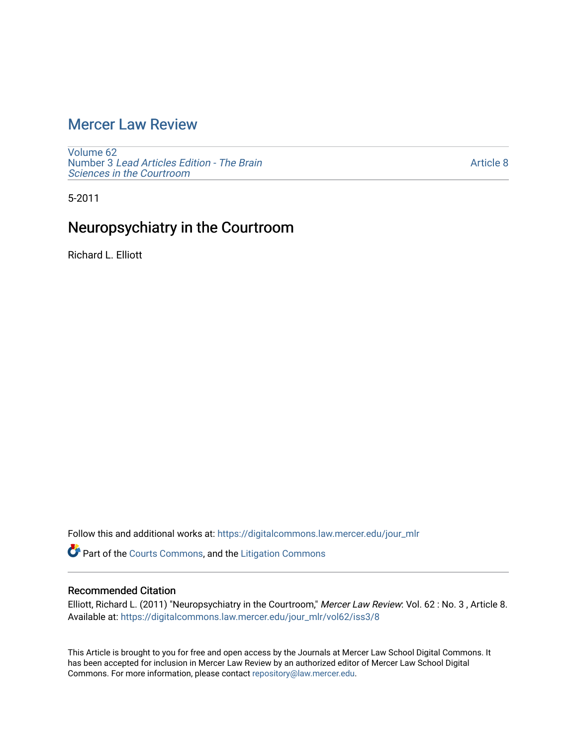# [Mercer Law Review](https://digitalcommons.law.mercer.edu/jour_mlr)

[Volume 62](https://digitalcommons.law.mercer.edu/jour_mlr/vol62) Number 3 [Lead Articles Edition - The Brain](https://digitalcommons.law.mercer.edu/jour_mlr/vol62/iss3)  [Sciences in the Courtroom](https://digitalcommons.law.mercer.edu/jour_mlr/vol62/iss3)

[Article 8](https://digitalcommons.law.mercer.edu/jour_mlr/vol62/iss3/8) 

5-2011

# Neuropsychiatry in the Courtroom

Richard L. Elliott

Follow this and additional works at: [https://digitalcommons.law.mercer.edu/jour\\_mlr](https://digitalcommons.law.mercer.edu/jour_mlr?utm_source=digitalcommons.law.mercer.edu%2Fjour_mlr%2Fvol62%2Fiss3%2F8&utm_medium=PDF&utm_campaign=PDFCoverPages)

Part of the [Courts Commons,](http://network.bepress.com/hgg/discipline/839?utm_source=digitalcommons.law.mercer.edu%2Fjour_mlr%2Fvol62%2Fiss3%2F8&utm_medium=PDF&utm_campaign=PDFCoverPages) and the [Litigation Commons](http://network.bepress.com/hgg/discipline/910?utm_source=digitalcommons.law.mercer.edu%2Fjour_mlr%2Fvol62%2Fiss3%2F8&utm_medium=PDF&utm_campaign=PDFCoverPages) 

### Recommended Citation

Elliott, Richard L. (2011) "Neuropsychiatry in the Courtroom," Mercer Law Review: Vol. 62 : No. 3 , Article 8. Available at: [https://digitalcommons.law.mercer.edu/jour\\_mlr/vol62/iss3/8](https://digitalcommons.law.mercer.edu/jour_mlr/vol62/iss3/8?utm_source=digitalcommons.law.mercer.edu%2Fjour_mlr%2Fvol62%2Fiss3%2F8&utm_medium=PDF&utm_campaign=PDFCoverPages)

This Article is brought to you for free and open access by the Journals at Mercer Law School Digital Commons. It has been accepted for inclusion in Mercer Law Review by an authorized editor of Mercer Law School Digital Commons. For more information, please contact [repository@law.mercer.edu.](mailto:repository@law.mercer.edu)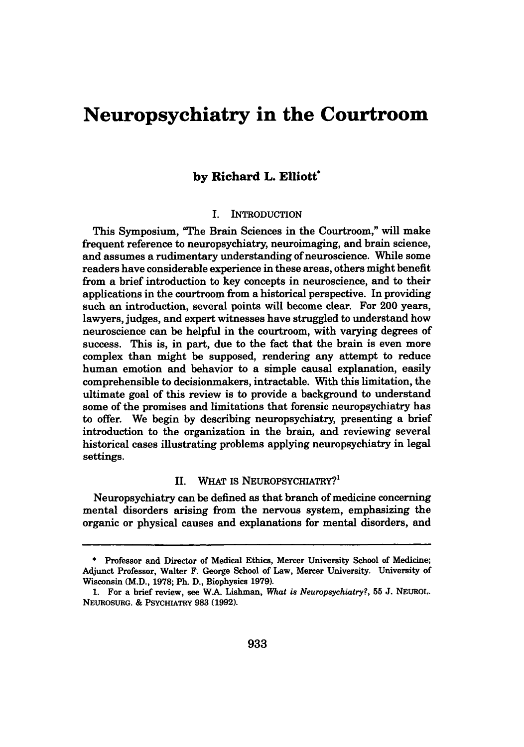# **Neuropsychiatry in the Courtroom**

## **by Richard L. Elliott\***

#### I. INTRODUCTION

This Symposium, "The Brain Sciences in the Courtroom," will make frequent reference to neuropsychiatry, neuroinaging, and brain science, and assumes a rudimentary understanding of neuroscience. While some readers have considerable experience **in** these areas, others might benefit from a brief introduction to key concepts in neuroscience, and to their applications in the courtroom from a historical perspective. In providing such an introduction, several points will become clear. For 200 years, lawyers, judges, and expert witnesses have struggled to understand how neuroscience can be helpful in the courtroom, with varying degrees of success. This is, in part, due to the fact that the brain is even more complex than might be supposed, rendering any attempt to reduce human emotion and behavior to a simple causal explanation, easily comprehensible to decisionmakers, intractable. With this limitation, the ultimate goal of this review is to provide a background to understand some of the promises and limitations that forensic neuropsychiatry has to offer. We begin **by** describing neuropsychiatry, presenting a brief introduction to the organization in the brain, and reviewing several historical cases illustrating problems applying neuropsychiatry in legal settings.

### II. WHAT IS NEUROPSYCHIATRY?'

Neuropsychiatry can be defined as that branch of medicine concerning mental disorders arising from the nervous system, emphasizing the organic or physical causes and explanations for mental disorders, and

**<sup>\*</sup>** Professor and Director of Medical Ethics, Mercer University School of Medicine; Adjunct Professor, Walter F. George School of Law, Mercer University. University of Wisconsin (M.D., **1978;** Ph. **D.,** Biophysics **1979).**

**<sup>1.</sup>** For a brief review, see WA Lishman, *What is Neuropsychiatry?,* **55 J. NEUROL.** NEUROSURG. **&** PSYCMATRY **983 (1992).**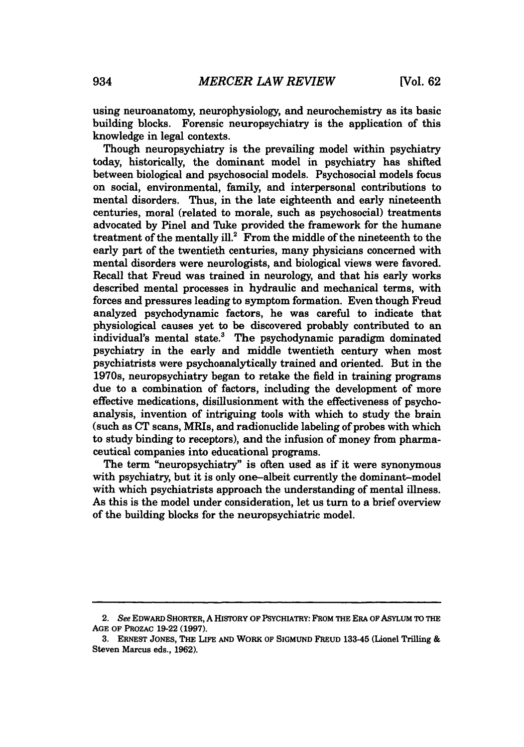using neuroanatomy, neurophysiology, and neurochemistry as its basic building blocks. Forensic neuropsychiatry is the application of this knowledge in legal contexts.

Though neuropsychiatry is the prevailing model within psychiatry today, historically, the dominant model in psychiatry has shifted between biological and psychosocial models. Psychosocial models focus on social, environmental, family, and interpersonal contributions to mental disorders. Thus, in the late eighteenth and early nineteenth centuries, moral (related to morale, such as psychosocial) treatments advocated **by** Pinel and Tuke provided the framework for the humane treatment of the mentally ill.<sup>2</sup> From the middle of the nineteenth to the early part of the twentieth centuries, many physicians concerned with mental disorders were neurologists, and biological views were favored. Recall that Freud was trained in neurology, and that his early works described mental processes in hydraulic and mechanical terms, with forces and pressures leading to symptom formation. Even though Freud analyzed psychodynamic factors, he was careful to indicate that physiological causes yet to be discovered probably contributed to an individual's mental state.' The psychodynamic paradigm dominated psychiatry in the early and middle twentieth century when most psychiatrists were psychoanalytically trained and oriented. But in the 1970s, neuropsychiatry began to retake the field in training programs due to a combination of factors, including the development of more effective medications, disillusionment with the effectiveness of psychoanalysis, invention of intriguing tools with which to study the brain (such as **CT** scans, MRIs, and radionuclide labeling of probes with which to study binding to receptors), and the infusion of money from pharmaceutical companies into educational programs.

The term "neuropsychiatry" is often used as if it were synonymous with psychiatry, but it is only one-albeit currently the dominant-model with which psychiatrists approach the understanding of mental illness. As this is the model under consideration, let us turn to a brief overview of the building blocks for the neuropsychiatric model.

*<sup>2.</sup>* See EDWARD SHORTER, **A** HISTORY OF PSYCHIATRY: FROM THE ERA OF ASYLUM TO THE **AGE OF** PROZAC **19-22 (1997).**

**<sup>3.</sup> ERNEST** JONES, THE LIFE **AND** WORK OF **SIGMUND** FREUD 133-45 (Lionel Trilling **&** Steven Marcus eds., **1962).**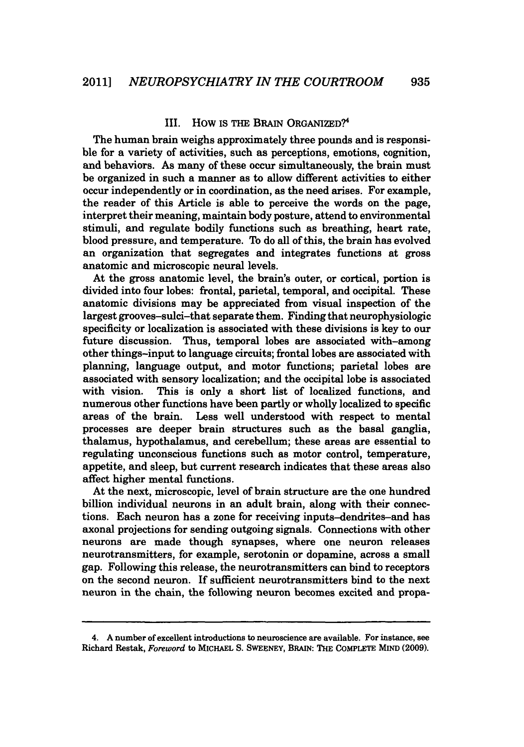#### III. How is **THE BRAIN ORGANIZED?<sup>4</sup>**

The human brain weighs approximately three pounds and is responsible for a variety of activities, such as perceptions, emotions, cognition, and behaviors. As many of these occur simultaneously, the brain must be organized in such a manner as to allow different activities to either occur independently or in coordination, as the need arises. For example, the reader of this Article is able to perceive the words on the page, interpret their meaning, maintain body posture, attend to environmental stimuli, and regulate bodily functions such as breathing, heart rate, blood pressure, and temperature. To do all of this, the brain has evolved an organization that segregates and integrates functions at gross anatomic and microscopic neural levels.

At the gross anatomic level, the brain's outer, or cortical, portion is divided into four lobes: frontal, parietal, temporal, and occipital. These anatomic divisions may be appreciated from visual inspection of the largest grooves-sulci-that separate them. Finding that neurophysiologic specificity or localization is associated with these divisions is key to our future discussion. Thus, temporal lobes are associated with-among other things-input to language circuits; frontal lobes are associated with planning, language output, and motor functions; parietal lobes are associated with sensory localization; and the occipital lobe is associated with vision. This is only a short list of localized functions, and numerous other functions have been partly or wholly localized to specific areas of the brain. Less well understood with respect to mental processes are deeper brain structures such as the basal ganglia, thalamus, hypothalamus, and cerebellum; these areas are essential to regulating unconscious functions such as motor control, temperature, appetite, and sleep, but current research indicates that these areas also affect higher mental functions.

At the next, microscopic, level of brain structure are the one hundred billion individual neurons in an adult brain, along with their connections. Each neuron has a zone for receiving inputs-dendrites-and has axonal projections for sending outgoing signals. Connections with other neurons are made though synapses, where one neuron releases neurotransmitters, for example, serotonin or dopamine, across a small gap. Following this release, the neurotransmitters can bind to receptors on the second neuron. If sufficient neurotransmitters bind to the next neuron in the chain, the following neuron becomes excited and propa-

<sup>4.</sup> **A** number of excellent introductions to neuroscience are available. For instance, see Richard Restak, *Foreword* to **MICHAEL S.** SWEENEY, BRAIN: THE COMPLETE MIND **(2009).**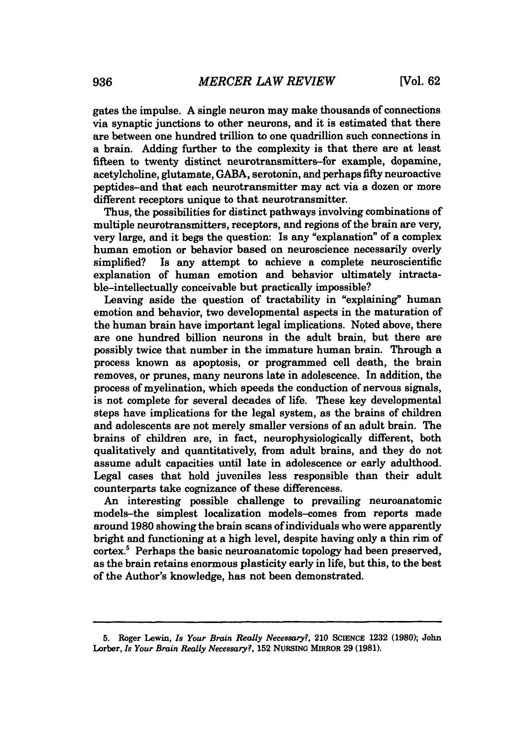gates the impulse. **A** single neuron may make thousands of connections via synaptic junctions to other neurons, and it is estimated that there are between one hundred trillion to one quadrillion such connections in a brain. Adding further to the complexity is that there are at least fifteen to twenty distinct neurotransmitters-for example, dopamine, acetylcholine, glutamate, **GABA,** serotonin, and perhaps **fifty** neuroactive peptides-and that each neurotransmitter may act via a dozen or more different receptors unique to that neurotransmitter.

Thus, the possibilities for distinct pathways involving combinations of multiple neurotransmitters, receptors, and regions of the brain are very, very large, and it begs the question: Is any "explanation" of a complex human emotion or behavior based on neuroscience necessarily overly simplified? Is any attempt to achieve a complete neuroscientific explanation of human emotion and behavior ultimately intractable-intellectually conceivable but practically impossible?

Leaving aside the question of tractability in "explaining" human emotion and behavior, two developmental aspects in the maturation of the human brain have important legal implications. Noted above, there are one hundred billion neurons in the adult brain, but there are possibly twice that number in the immature human brain. Through a process known as apoptosis, or programmed cell death, the brain removes, or prunes, many neurons late in adolescence. In addition, the process of myelination, which speeds the conduction of nervous signals, is not complete for several decades of life. These key developmental steps have implications for the legal system, as the brains of children and adolescents are not merely smaller versions of an adult brain. The brains of children are, in fact, neurophysiologically different, both qualitatively and quantitatively, from adult brains, and they do not assume adult capacities until late in adolescence or early adulthood. Legal cases that hold juveniles less responsible than their adult counterparts take cognizance of these differencess.

An interesting possible challenge to prevailing neuroanatomic models-the simplest localization models-comes from reports made around **1980** showing the brain scans of individuals who were apparently bright and functioning at a high level, despite having only a thin rim of cortex.' Perhaps the basic neuroanatomic topology had been preserved, as the brain retains enormous plasticity early in life, but this, to the best of the Author's knowledge, has not been demonstrated.

**<sup>5.</sup>** Roger Lewin, *Is Your Brain Really Necessary?,* 210 **SCIENCE 1232 (1980);** John *Lorber, Is Your Brain Really Necessary?,* **152 NURsING** MIRROR **29 (1981).**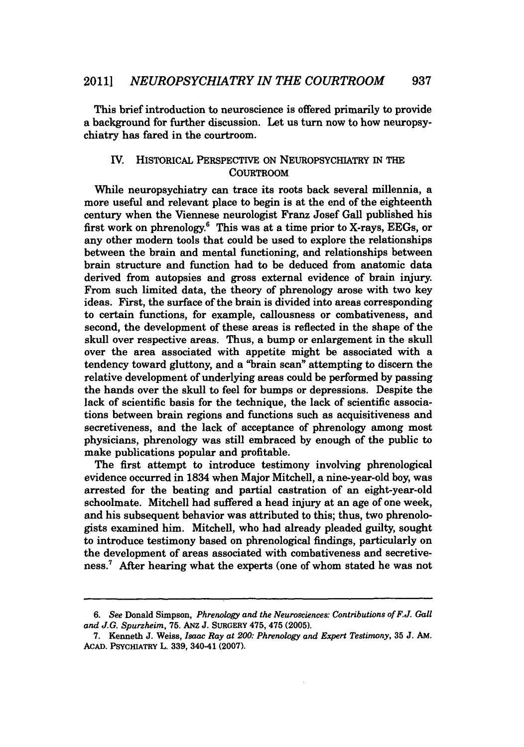This brief introduction to neuroscience is offered primarily to provide a background for further discussion. Let us turn now to how neuropsychiatry has fared in the courtroom.

### IV. HISTORICAL PERSPECTIVE ON NEUROPSYCHIATRY **IN** THE **COURTROOM**

While neuropsychiatry can trace its roots back several millennia, a more useful and relevant place to begin is at the end of the eighteenth century when the Viennese neurologist Franz Josef Gall published his first work on phrenology.' This was at a time prior to X-rays, **EEGs,** or any other modern tools that could be used to explore the relationships between the brain and mental functioning, and relationships between brain structure and function had to be deduced from anatomic data derived from autopsies and gross external evidence of brain injury. From such limited data, the theory of phrenology arose with two key ideas. First, the surface of the brain is divided into areas corresponding to certain functions, for example, callousness or combativeness, and second, the development of these areas is reflected in the shape of the skull over respective areas. Thus, a bump or enlargement in the skull over the area associated with appetite might be associated with a tendency toward gluttony, and a "brain scan" attempting to discern the relative development of underlying areas could be performed **by** passing the hands over the skull to feel for bumps or depressions. Despite the lack of scientific basis for the technique, the lack of scientific associations between brain regions and functions such as acquisitiveness and secretiveness, and the lack of acceptance of phrenology among most physicians, phrenology was still embraced **by** enough of the public to make publications popular and profitable.

The first attempt to introduce testimony involving phrenological evidence occurred in 1834 when Major Mitchell, a nine-year-old boy, was arrested for the beating and partial castration of an eight-year-old schoolmate. Mitchell had suffered a head injury at an age of one week, and his subsequent behavior was attributed to this; thus, two phrenologists examined him. Mitchell, who had already pleaded guilty, sought to introduce testimony based on phrenological findings, particularly on the development of areas associated with combativeness and secretiveness.' After hearing what the experts (one of whom stated he was not

*<sup>6.</sup> See* Donald Simpson, *Phrenology and the Neurosciences: Contributions of F.J. Gall and J.G. Spurzheim,* **75. ANz J.** SURGERY 475, 475 **(2005).**

*<sup>7.</sup>* Kenneth **J.** Weiss, *Isaac Ray at 200: Phrenology and Expert Testimony, 35* **J. AM.** ACAD. PSYCmiATRY L. **339,** 340-41 **(2007).**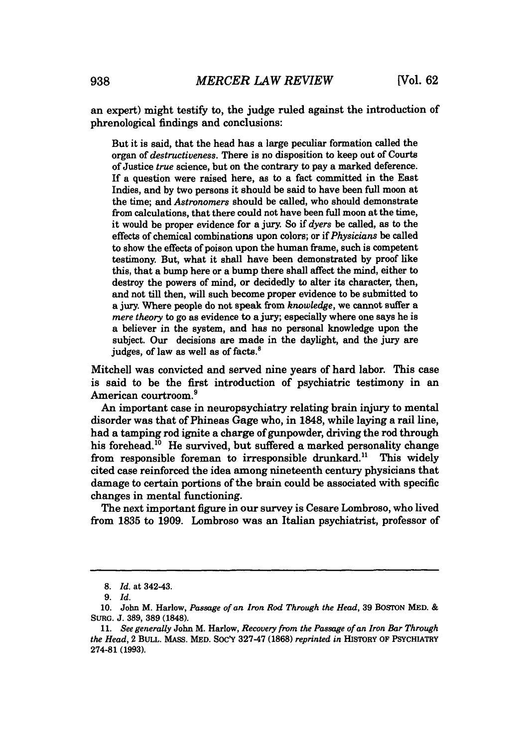an expert) might testify to, the judge ruled against the introduction of phrenological findings and conclusions:

But it is said, that the head has a large peculiar formation called the organ of *destructiveness.* There is no disposition to keep out of Courts of Justice *true* science, but on the contrary to pay a marked deference. If a question were raised here, as to a fact committed in the East Indies, and **by** two persons it should be said to have been full moon at the time; and *Astronomers* should be called, who should demonstrate from calculations, that there could not have been full moon at the time, it would be proper evidence for a jury. So if *dyers* be called, as to the effects of chemical combinations upon colors; or if *Physicians* be called to show the effects of poison upon the human frame, such is competent testimony. But, what it shall have been demonstrated **by** proof like this, that a bump here or a bump there shall affect the mind, either to destroy the powers of mind, or decidedly to alter its character, then, and not till then, will such become proper evidence to be submitted to a jury. Where people do not speak from *knowledge,* we cannot suffer a *mere theory* to go as evidence to a jury; especially where one says he is a believer in the system, and has no personal knowledge upon the subject. Our decisions are made in the daylight, and the jury are judges, of law as well as of facts.<sup>8</sup>

Mitchell was convicted and served nine years of hard labor. This case is said to be the first introduction of psychiatric testimony in an American courtroom.9

An important case in neuropsychiatry relating brain injury to mental disorder was that of Phineas Gage who, in **1848,** while laying a rail line, had a tamping rod ignite a charge of gunpowder, driving the rod through his forehead.<sup>10</sup> He survived, but suffered a marked personality change from responsible foreman to irresponsible drunkard." This widely cited case reinforced the idea among nineteenth century physicians that damage to certain portions of the brain could be associated with specific changes in mental functioning.

The next important figure in our survey is Cesare Lombroso, who lived from **1835** to **1909.** Lombroso was an Italian psychiatrist, professor of

*<sup>8.</sup> Id.* at 342-43.

*<sup>9.</sup> Id.*

**<sup>10.</sup>** John M. Harlow, *Passage of an Iron Rod Through the Head,* **39 BOSTON MED. &** *SURG.* **J. 389, 389 (1848).**

*<sup>11.</sup> See generally* John M. Harlow, *Recovery from the Passage of an Iron Bar Through the Head,* 2 BULL. **MASS.** MED. SOc'Y **327-47 (1868)** *reprinted in* **HISTORY OF PSYCHIATRY 274-81 (1993).**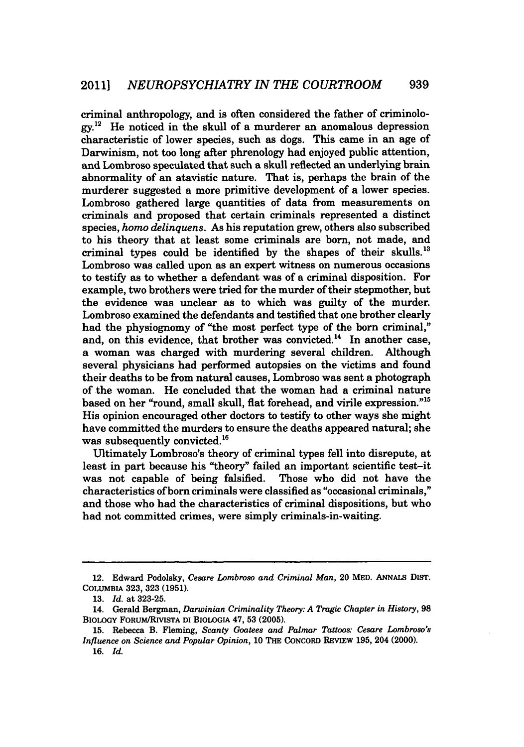**939**

criminal anthropology, and is often considered the father of criminolo**gy.1** He noticed in the skull of a murderer an anomalous depression characteristic of lower species, such as dogs. This came in an age of Darwinism, not too long after phrenology had enjoyed public attention, and Lombroso speculated that such a skull reflected an underlying brain abnormality of an atavistic nature. That is, perhaps the brain of the murderer suggested a more primitive development of a lower species. Lombroso gathered large quantities of data from measurements on criminals and proposed that certain criminals represented a distinct species, *homo delinquens.* As his reputation grew, others also subscribed to his theory that at least some criminals are born, not made, and criminal types could be identified **by** the shapes of their skulls." Lombroso was called upon as an expert witness on numerous occasions to testify as to whether a defendant was of a criminal disposition. For example, two brothers were tried for the murder of their stepmother, but the evidence was unclear as to which was guilty of the murder. Lombroso examined the defendants and testified that one brother clearly had the physiognomy of "the most perfect type of the born criminal," and, on this evidence, that brother was convicted.<sup>14</sup> In another case, a woman was charged with murdering several children. Although several physicians had performed autopsies on the victims and found their deaths to be from natural causes, Lombroso was sent a photograph of the woman. He concluded that the woman had a criminal nature based on her "round, small skull, flat forehead, and virile expression."<sup>15</sup> His opinion encouraged other doctors to testify to other ways she might have committed the murders to ensure the deaths appeared natural; she was subsequently convicted.<sup>16</sup>

Ultimately Lombroso's theory of criminal types fell into disrepute, at least in part because his "theory" failed an important scientific test-it was not capable of being falsified. Those who did not have the characteristics of born criminals were classified as "occasional criminals," and those who had the characteristics of criminal dispositions, but who had not committed crimes, were simply criminals-in-waiting.

<sup>12.</sup> Edward Podolsky, *Cesare Lombroso and Criminal Man,* 20 **MED. ANNALS DisT. COLUMBIA** 323, **323 (1951).**

*<sup>13.</sup> Id.* at **323-25.**

**<sup>14.</sup>** Gerald **Bergman,** *Darwinian Criminality Theory: A Tragic Chapter in History, 98* BioLoGY FORUMIRIVISTA **DI BIOLOGIA 47, 53 (2005).**

**<sup>15.</sup>** Rebecca B. Fleming, *Scanty Goatees and Palmar Tattoos: Cesare Lombroso's Influence on Science and Popular Opinion,* **10 THE CONCORD REvIEw 195,** 204 (2000). *16.* Id.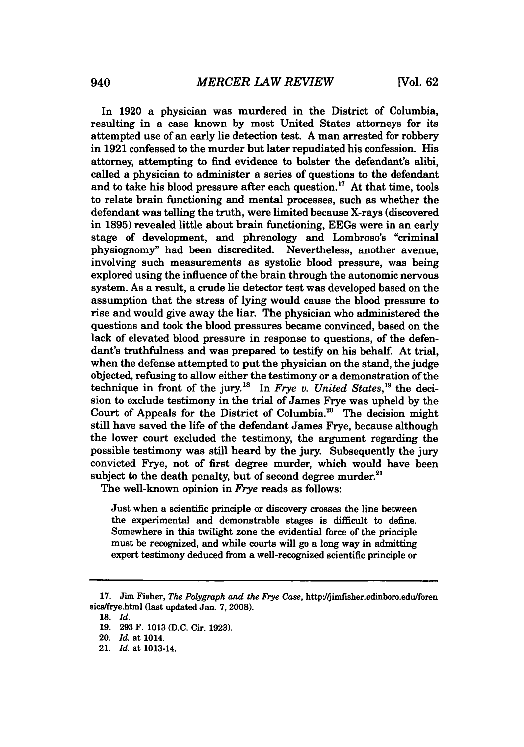In **1920** a physician was murdered in the District of Columbia, resulting in a case known **by** most United States attorneys for its attempted use of an early lie detection test. **A** man arrested for robbery in **1921** confessed to the murder but later repudiated his confession. His attorney, attempting *to* find evidence to bolster the defendant's alibi, called a physician *to* administer a series of questions to the defendant and to take his blood pressure after each question.<sup>17</sup> At that time, tools to relate brain functioning and mental processes, such as whether the defendant was telling the truth, were limited because X-rays (discovered in **1895)** revealed little about brain functioning, EEGs were in an early stage of development, and phrenology and Lombroso's "criminal physiognomy" had been discredited. Nevertheless, another avenue, involving such measurements as systolic blood pressure, was being explored using the influence of the brain through the autonomic nervous system. As a result, a crude lie detector test was developed based on the assumption that the stress of lying would cause the blood pressure to rise and would give away the liar. The physician who administered the questions and took the blood pressures became convinced, based on the lack of elevated blood pressure in response to questions, of the defendant's truthfulness and was prepared to testify on his behalf. At trial, when the defense attempted to put the physician on the stand, the judge objected, refusing to allow either the testimony or a demonstration of the technique in front of the jury.<sup>18</sup> In *Frye v. United States*,<sup>19</sup> the decision *to* exclude testimony in the trial of James Frye was upheld **by** the Court of Appeals for the District of Columbia.20 The decision might still have saved the life of the defendant James Frye, because although the lower court excluded the testimony, the argument regarding the possible testimony was still heard **by** the jury. Subsequently the jury convicted Frye, not of first degree murder, which would have been subject to the death penalty, but of second degree murder.<sup>21</sup>

The well-known opinion in *Frye* reads as follows:

Just when a scientific principle or discovery crosses the line between the experimental and demonstrable stages is difficult to define. Somewhere in this twilight zone the evidential force of the principle must be recognized, and while courts will go a long way in admitting expert testimony deduced from a well-recognized scientific principle or

**<sup>17.</sup>** Jim Fisher, *The Polygraph and the Frye Case,* http/jimfisher.edinboro.edu/foren sics/frye.html (last updated Jan. **7, 2008).**

*<sup>18.</sup> Id.*

**<sup>19. 293</sup>** F. **1013 (D.C.** Cir. **1923).**

<sup>20.</sup> *Id.* at 1014.

<sup>21.</sup> *Id.* at 1013-14.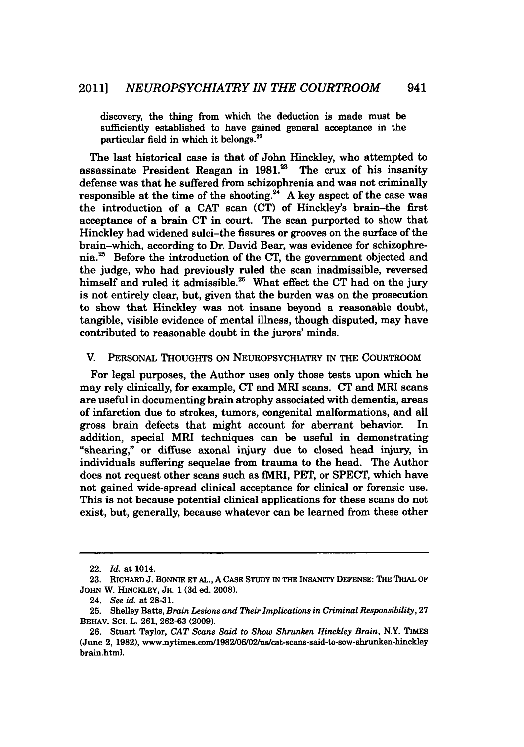discovery, the thing from which the deduction is made must be sufficiently established to have gained general acceptance in the particular field in which it belongs.<sup>22</sup>

The last historical case is that of John Hinckley, who attempted to assassinate President Reagan in 1981.<sup>23</sup> The crux of his insanity defense was that he suffered from schizophrenia and was not criminally responsible at the time of the shooting.<sup>24</sup> A key aspect of the case was the introduction of a **CAT** scan **(CT)** of Hinckley's brain-the first acceptance of a brain **CT** in court. The scan purported to show that Hinckley had widened sulci-the fissures or grooves on the surface of the brain-which, according to Dr. David Bear, was evidence for schizophrenia.25 Before the introduction of the **CT,** the government objected and the judge, who had previously ruled the scan inadmissible, reversed himself and ruled it admissible.26 What effect the **CT** had on the jury is not entirely clear, but, given that the burden was on the prosecution to show that Hinckley was not insane beyond a reasonable doubt, tangible, visible evidence of mental illness, though disputed, may have contributed to reasonable doubt in the jurors' minds.

#### V. PERSONAL THOUGHTS ON NEUROPSYCHIATRY **IN** THE COURTROOM

For legal purposes, the Author uses only those tests upon which he may rely clinically, for example, **CT** and MRI scans. **CT** and MRI scans are useful in documenting brain atrophy associated with dementia, areas of infarction due to strokes, tumors, congenital malformations, and all gross brain defects that might account for aberrant behavior. In addition, special MRI techniques can be useful in demonstrating "shearing," or diffuse axonal injury due to closed head injury, in individuals suffering sequelae from trauma to the head. The Author does not request other scans such as fMRI, PET, or **SPECT,** which have not gained wide-spread clinical acceptance for clinical or forensic use. This is not because potential clinical applications for these scans do not exist, but, generally, because whatever can be learned from these other

<sup>22.</sup> *Id.* at 1014.

**<sup>23.</sup> RICHARD J. BONNIE ET AL., A** CASE STUDY **IN THE INSANITY DEFENSE: THE TRIAL OF JOHN** W. **HINCKLEY, JR. 1 (3d** ed. **2008).**

<sup>24.</sup> *See id. at* **28-31.**

**<sup>25.</sup>** Shelley Batts, *Brain Lesions and Their Implications in Criminal Responsibility, 27* BEHAV. Sci. L. **261, 262-63 (2009).**

**<sup>26.</sup>** Stuart Taylor, *CAT Scans Said to Show Shrunken Hinckley Brain,* N.Y. **TIMES** (June 2, **1982),** www.nytimes.com/1982/06/02/us/cat-scans-said-to-sow-shrunken-hinckley brain.html.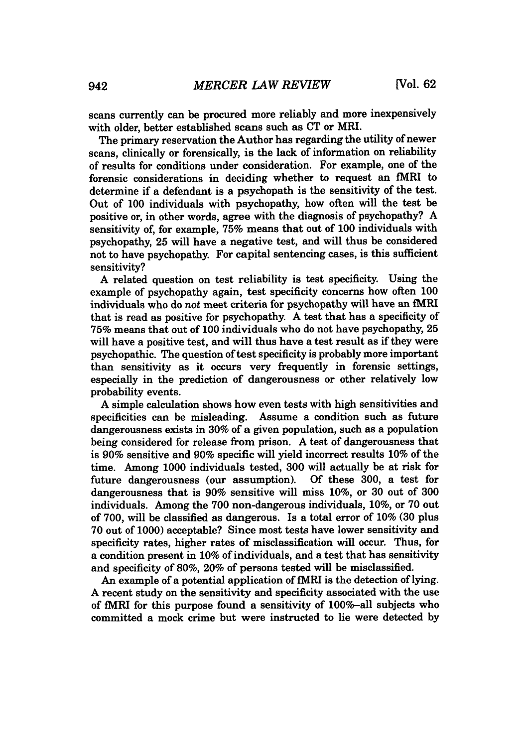scans currently can be procured more reliably and more inexpensively with older, better established scans such as **CT** or MRI.

The primary reservation the Author has regarding the utility of newer scans, clinically or forensically, is the lack of information on reliability of results for conditions under consideration. For example, one of the forensic considerations in deciding whether to request an fMRI to determine if a defendant is a psychopath is the sensitivity of the test. Out of **100** individuals with psychopathy, how often will the test be positive or, in other words, agree with the diagnosis of psychopathy? **A** sensitivity of, for example, **75%** means that out of **100** individuals with psychopathy, **25** will have a negative test, and will thus be considered not to have psychopathy. For capital sentencing cases, is this sufficient sensitivity?

**A** related question on test reliability is test specificity. Using the example of psychopathy again, test specificity concerns how often **100** individuals who do *not* meet criteria for psychopathy will have an fMRI that is read as positive for psychopathy. **A** test that has a specificity of **75%** means that out of **100** individuals who do not have psychopathy, **25** will have a positive test, and will thus have a test result as if they were psychopathic. The question of test specificity is probably more important than sensitivity as it occurs very frequently in forensic settings, especially in the prediction of dangerousness or other relatively low probability events.

**A** simple calculation shows how even tests with high sensitivities and specificities can be misleading. Assume a condition such as future dangerousness exists in **30%** of a given population, such as a population being considered for release from prison. **A** test of dangerousness that is **90%** sensitive and **90%** specific will yield incorrect results **10%** of the time. Among **1000** individuals tested, **300** will actually be at risk for future dangerousness (our assumption). dangerousness that is **90%** sensitive will miss **10%,** or **30** out of **300** individuals. Among the **700** non-dangerous individuals, **10%,** or **70** out of **700,** will be classified as dangerous. Is a total error of **10% (30** plus **70** out of **1000)** acceptable? Since most tests have lower sensitivity and specificity rates, higher rates of misclassification will occur. Thus, for a condition present in **10%** of individuals, and a test that has sensitivity and specificity of **80%,** 20% of persons tested will be misclassified.

An example of a potential application of fMRI is the detection of lying. **A** recent study on the sensitivity and specificity associated with the use of fMRI for this purpose found a sensitivity of 100%-all subjects who committed a mock crime but were instructed to lie were detected **by**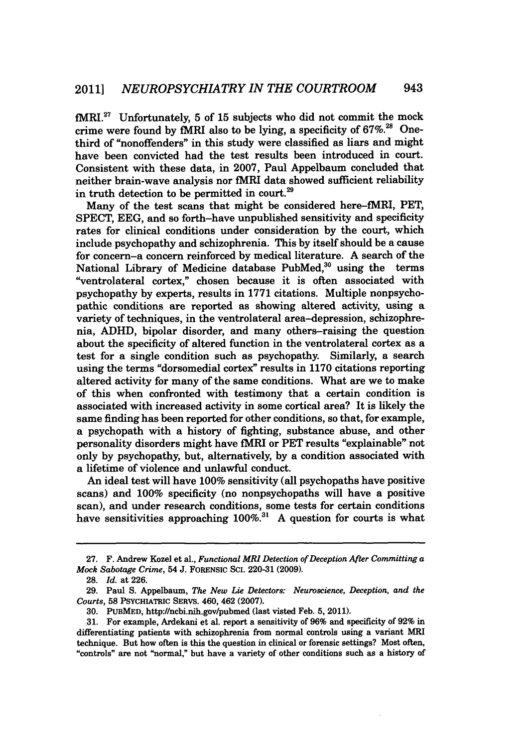fMRI. 27 Unfortunately, **5** of **15** subjects who did not commit the mock crime were found **by** fMRI also to be lying, a specificity of **67%.28** Onethird of "nonoffenders" in this study were classified as liars and might have been convicted had the test results been introduced in court. Consistent with these data, in **2007,** Paul Appelbaum concluded that neither brain-wave analysis nor fMRI data showed sufficient reliability in truth detection to be permitted in court.29

Many of the test scans that might be considered here-fMRI, PET, **SPECT, EEG,** and so forth-have unpublished sensitivity and specificity rates for clinical conditions under consideration **by** the court, which include psychopathy and schizophrenia. This **by** itself should be a cause for concern-a concern reinforced **by** medical literature. **A** search of the National Library of Medicine database PubMed, $30$  using the terms "ventrolateral cortex," chosen because it is often associated with psychopathy **by** experts, results in **1771** citations. Multiple nonpsychopathic conditions are reported as showing altered activity, using a variety of techniques, in the ventrolateral area-depression, schizophrenia, **ADHD,** bipolar disorder, and many others-raising the question about the specificity of altered function in the ventrolateral cortex as a test for a single condition such as psychopathy. Similarly, a search using the terms "dorsomedial cortex" results in **1170** citations reporting altered activity for many of the same conditions. What are we to make of this when confronted with testimony that a certain condition is associated with increased activity in some cortical area? It is likely the same finding has been reported for other conditions, so that, for example, a psychopath with a history of fighting, substance abuse, and other personality disorders might have fMRI or PET results "explainable" not only **by** psychopathy, but, alternatively, **by** a condition associated with a lifetime of violence and unlawful conduct.

An ideal test will have **100%** sensitivity (all psychopaths have positive scans) and **100%** specificity (no nonpsychopaths will have a positive scan), and under research conditions, some tests for certain conditions have sensitivities approaching 100%.<sup>31</sup> A question for courts is what

**<sup>27.</sup>** F. Andrew Kozel et al., *Functional MRI Detection of Deception After Committing a Mock Sabotage Crime,* 54 **J.** FORENSIC Sci. **220-31 (2009).**

**<sup>28.</sup>** *Id. at* **226.**

**<sup>29.</sup>** Paul **S.** Appelbaum, *The New Lie Detectors: Neuroscience, Deception, and the Courts,* **58** PSYCHIATRIC SERvs. 460, 462 **(2007).**

**<sup>30.</sup> PUBMED,** http:/Incbi.nih.gov/pubmed (last visted Feb. **5,** 2011).

**<sup>31.</sup>** For example, Ardekani et al. report a sensitivity of **96%** and specificity of **92%** in differentiating patients with schizophrenia from normal controls using a variant MRI technique. But how often is this the question in clinical or forensic settings? Most often, "controls" are not "normal," but have a variety of other conditions such as a history of